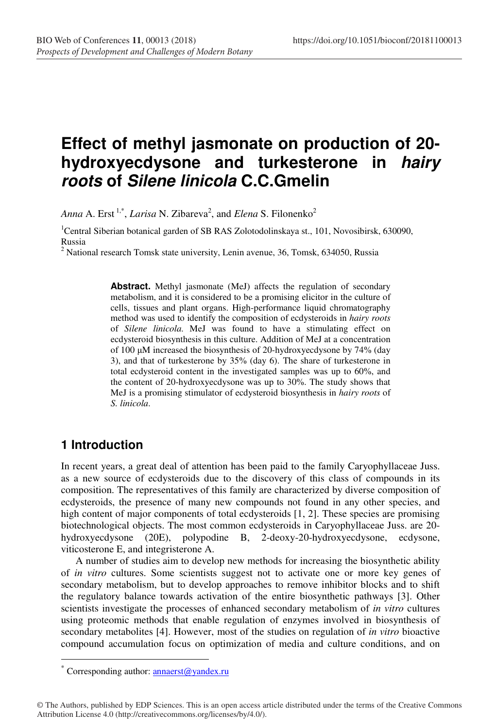# **Effect of methyl jasmonate on production of 20 hydroxyecdysone and turkesterone in hairy roots of Silene linicola C.C.Gmelin**

*Anna* A. Erst<sup>1,\*</sup>, *Larisa* N. Zibareva<sup>2</sup>, and *Elena* S. Filonenko<sup>2</sup>

<sup>1</sup>Central Siberian botanical garden of SB RAS Zolotodolinskaya st., 101, Novosibirsk, 630090, Russia

<sup>2</sup> National research Tomsk state university, Lenin avenue, 36, Tomsk, 634050, Russia

Abstract. Methyl jasmonate (MeJ) affects the regulation of secondary metabolism, and it is considered to be a promising elicitor in the culture of cells, tissues and plant organs. High-performance liquid chromatography method was used to identify the composition of ecdysteroids in *hairy roots* of *Silene linicola*. MeJ was found to have a stimulating effect on ecdysteroid biosynthesis in this culture. Addition of MeJ at a concentration of 100 µM increased the biosynthesis of 20-hydroxyecdysone by 74% (day 3), and that of turkesterone by 35% (day 6). The share of turkesterone in total ecdysteroid content in the investigated samples was up to 60%, and the content of 20-hydroxyecdysone was up to 30%. The study shows that MeJ is a promising stimulator of ecdysteroid biosynthesis in *hairy roots* of *S. linicola*.

### **1 Introduction**

 $\overline{a}$ 

In recent years, a great deal of attention has been paid to the family Caryophyllaceae Juss. as a new source of ecdysteroids due to the discovery of this class of compounds in its composition. The representatives of this family are characterized by diverse composition of ecdysteroids, the presence of many new compounds not found in any other species, and high content of major components of total ecdysteroids [1, 2]. These species are promising biotechnological objects. The most common ecdysteroids in Caryophyllaceae Juss. are 20 hydroxyecdysone (20E), polypodine B, 2-deoxy-20-hydroxyecdysone, ecdysone, viticosterone E, and integristerone A.

A number of studies aim to develop new methods for increasing the biosynthetic ability of *in vitro* cultures. Some scientists suggest not to activate one or more key genes of secondary metabolism, but to develop approaches to remove inhibitor blocks and to shift the regulatory balance towards activation of the entire biosynthetic pathways [3]. Other scientists investigate the processes of enhanced secondary metabolism of *in vitro* cultures using proteomic methods that enable regulation of enzymes involved in biosynthesis of secondary metabolites [4]. However, most of the studies on regulation of *in vitro* bioactive compound accumulation focus on optimization of media and culture conditions, and on

<sup>\*</sup> Corresponding author: **annaerst@yandex.ru** 

<sup>©</sup> The Authors, published by EDP Sciences. This is an open access article distributed under the terms of the Creative Commons Attribution License 4.0 (http://creativecommons.org/licenses/by/4.0/).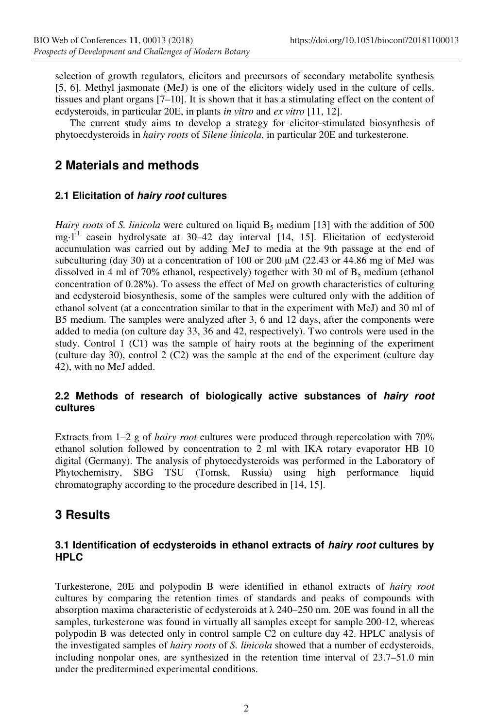selection of growth regulators, elicitors and precursors of secondary metabolite synthesis [5, 6]. Methyl jasmonate (MeJ) is one of the elicitors widely used in the culture of cells, tissues and plant organs [7–10]. It is shown that it has a stimulating effect on the content of ecdysteroids, in particular 20E, in plants *in vitro* and *ex vitro* [11, 12].

The current study aims to develop a strategy for elicitor-stimulated biosynthesis of phytoecdysteroids in *hairy roots* of *Silene linicola*, in particular 20E and turkesterone.

# **2 Materials and methods**

### **2.1 Elicitation of hairy root cultures**

*Hairy roots* of *S. linicola* were cultured on liquid B<sub>5</sub> medium [13] with the addition of 500 mg $l^{-1}$  casein hydrolysate at 30–42 day interval [14, 15]. Elicitation of ecdysteroid accumulation was carried out by adding MeJ to media at the 9th passage at the end of subculturing (day 30) at a concentration of 100 or 200  $\mu$ M (22.43 or 44.86 mg of MeJ was dissolved in 4 ml of 70% ethanol, respectively) together with 30 ml of  $B_5$  medium (ethanol concentration of 0.28%). To assess the effect of MeJ on growth characteristics of culturing and ecdysteroid biosynthesis, some of the samples were cultured only with the addition of ethanol solvent (at a concentration similar to that in the experiment with MeJ) and 30 ml of B5 medium. The samples were analyzed after 3, 6 and 12 days, after the components were added to media (on culture day 33, 36 and 42, respectively). Two controls were used in the study. Control 1 (C1) was the sample of hairy roots at the beginning of the experiment (culture day 30), control  $2$  (C2) was the sample at the end of the experiment (culture day 42), with no MeJ added.

### **2.2 Methods of research of biologically active substances of hairy root cultures**

Extracts from 1–2 g of *hairy root* cultures were produced through repercolation with 70% ethanol solution followed by concentration to 2 ml with IKA rotary evaporator HB 10 digital (Germany). The analysis of phytoecdysteroids was performed in the Laboratory of Phytochemistry, SBG TSU (Tomsk, Russia) using high performance liquid chromatography according to the procedure described in [14, 15].

# **3 Results**

#### **3.1 Identification of ecdysteroids in ethanol extracts of hairy root cultures by HPLC**

Turkesterone, 20E and polypodin B were identified in ethanol extracts of *hairy root* cultures by comparing the retention times of standards and peaks of compounds with absorption maxima characteristic of ecdysteroids at  $\lambda$  240–250 nm. 20E was found in all the samples, turkesterone was found in virtually all samples except for sample 200-12, whereas polypodin B was detected only in control sample C2 on culture day 42. HPLC analysis of the investigated samples of *hairy roots* of *S. linicola* showed that a number of ecdysteroids, including nonpolar ones, are synthesized in the retention time interval of 23.7–51.0 min under the preditermined experimental conditions.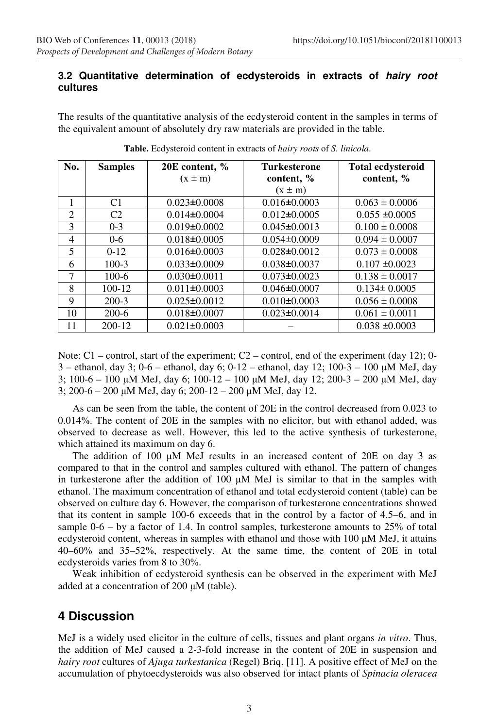#### **3.2 Quantitative determination of ecdysteroids in extracts of hairy root cultures**

The results of the quantitative analysis of the ecdysteroid content in the samples in terms of the equivalent amount of absolutely dry raw materials are provided in the table.

| No.            | <b>Samples</b> | 20E content, %     | <b>Turkesterone</b> | <b>Total ecdysteroid</b> |
|----------------|----------------|--------------------|---------------------|--------------------------|
|                |                | $(x \pm m)$        | content, %          | content, %               |
|                |                |                    | $(x \pm m)$         |                          |
| 1              | C <sub>1</sub> | $0.023 \pm 0.0008$ | $0.016 \pm 0.0003$  | $0.063 \pm 0.0006$       |
| $\mathfrak{D}$ | C <sub>2</sub> | $0.014\pm0.0004$   | $0.012\pm0.0005$    | $0.055 \pm 0.0005$       |
| 3              | $0 - 3$        | $0.019\pm0.0002$   | $0.045\pm0.0013$    | $0.100 \pm 0.0008$       |
| 4              | $0 - 6$        | $0.018 \pm 0.0005$ | $0.054\pm0.0009$    | $0.094 \pm 0.0007$       |
| 5              | $0-12$         | $0.016 \pm 0.0003$ | $0.028 \pm 0.0012$  | $0.073 \pm 0.0008$       |
| 6              | $100 - 3$      | $0.033\pm0.0009$   | $0.038\pm0.0037$    | $0.107 \pm 0.0023$       |
| 7              | $100 - 6$      | $0.030\pm0.0011$   | $0.073 \pm 0.0023$  | $0.138 \pm 0.0017$       |
| 8              | $100-12$       | $0.011 \pm 0.0003$ | $0.046 \pm 0.0007$  | $0.134 \pm 0.0005$       |
| 9              | $200 - 3$      | $0.025 \pm 0.0012$ | $0.010\pm0.0003$    | $0.056 \pm 0.0008$       |
| 10             | $200-6$        | $0.018 \pm 0.0007$ | $0.023 \pm 0.0014$  | $0.061 \pm 0.0011$       |
| 11             | $200 - 12$     | $0.021 \pm 0.0003$ |                     | $0.038 \pm 0.0003$       |

**Table.** Ecdysteroid content in extracts of *hairy roots* of *S. linicola*.

Note:  $C1$  – control, start of the experiment;  $C2$  – control, end of the experiment (day 12); 0-3 – ethanol, day 3; 0-6 – ethanol, day 6; 0-12 – ethanol, day 12; 100-3 – 100 µM MeJ, day 3; 100-6 – 100 µM MeJ, day 6; 100-12 – 100 µM MeJ, day 12; 200-3 – 200 µM MeJ, day 3; 200-6 – 200 µM MeJ, day 6; 200-12 – 200 µM MeJ, day 12.

As can be seen from the table, the content of 20E in the control decreased from 0.023 to 0.014%. The content of 20E in the samples with no elicitor, but with ethanol added, was observed to decrease as well. However, this led to the active synthesis of turkesterone, which attained its maximum on day 6.

The addition of 100 µM MeJ results in an increased content of 20E on day 3 as compared to that in the control and samples cultured with ethanol. The pattern of changes in turkesterone after the addition of 100 µM MeJ is similar to that in the samples with ethanol. The maximum concentration of ethanol and total ecdysteroid content (table) can be observed on culture day 6. However, the comparison of turkesterone concentrations showed that its content in sample 100-6 exceeds that in the control by a factor of 4.5–6, and in sample  $0-6 - by$  a factor of 1.4. In control samples, turkesterone amounts to 25% of total ecdysteroid content, whereas in samples with ethanol and those with  $100 \mu M$  MeJ, it attains 40–60% and 35–52%, respectively. At the same time, the content of 20E in total ecdysteroids varies from 8 to 30%.

Weak inhibition of ecdysteroid synthesis can be observed in the experiment with MeJ added at a concentration of 200 µM (table).

### **4 Discussion**

MeJ is a widely used elicitor in the culture of cells, tissues and plant organs *in vitro*. Thus, the addition of MeJ caused a 2-3-fold increase in the content of 20E in suspension and *hairy root* cultures of *Ajuga turkestanica* (Regel) Briq. [11]. A positive effect of MeJ on the accumulation of phytoecdysteroids was also observed for intact plants of *Spinacia oleracea*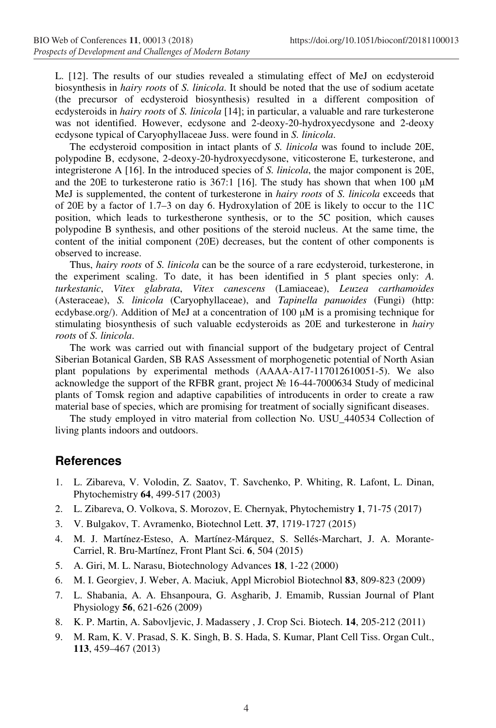L. [12]. The results of our studies revealed a stimulating effect of MeJ on ecdysteroid biosynthesis in *hairy roots* of *S. linicola*. It should be noted that the use of sodium acetate (the precursor of ecdysteroid biosynthesis) resulted in a different composition of ecdysteroids in *hairy roots* of *S. linicola* [14]; in particular, a valuable and rare turkesterone was not identified. However, ecdysone and 2-deoxy-20-hydroxyecdysone and 2-deoxy ecdysone typical of Caryophyllaceae Juss. were found in *S. linicola*.

The ecdysteroid composition in intact plants of *S. linicola* was found to include 20E, polypodine B, ecdysone, 2-deoxy-20-hydroxyecdysone, viticosterone E, turkesterone, and integristerone A [16]. In the introduced species of *S. linicola*, the major component is 20E, and the 20E to turkesterone ratio is 367:1 [16]. The study has shown that when 100 µM MeJ is supplemented, the content of turkesterone in *hairy roots* of *S. linicola* exceeds that of 20E by a factor of 1.7–3 on day 6. Hydroxylation of 20E is likely to occur to the 11C position, which leads to turkestherone synthesis, or to the 5C position, which causes polypodine B synthesis, and other positions of the steroid nucleus. At the same time, the content of the initial component (20E) decreases, but the content of other components is observed to increase.

Thus, *hairy roots* of *S. linicola* can be the source of a rare ecdysteroid, turkesterone, in the experiment scaling. To date, it has been identified in 5 plant species only: *A. turkestanic*, *Vitex glabrata*, *Vitex canescens* (Lamiaceae), *Leuzea carthamoides* (Asteraceae), *S. linicola* (Caryophyllaceae), and *Tapinella panuoides* (Fungi) (http: ecdybase.org/). Addition of MeJ at a concentration of 100  $\mu$ M is a promising technique for stimulating biosynthesis of such valuable ecdysteroids as 20E and turkesterone in *hairy roots* of *S. linicola*.

The work was carried out with financial support of the budgetary project of Central Siberian Botanical Garden, SB RAS Assessment of morphogenetic potential of North Asian plant populations by experimental methods (АААА-А17-117012610051-5). We also acknowledge the support of the RFBR grant, project № 16-44-7000634 Study of medicinal plants of Tomsk region and adaptive capabilities of introducents in order to create a raw material base of species, which are promising for treatment of socially significant diseases.

The study employed in vitro material from collection No. USU\_440534 Collection of living plants indoors and outdoors.

### **References**

- 1. L. Zibareva, V. Volodin, Z. Saatov, T. Savchenko, P. Whiting, R. Lafont, L. Dinan, Phytochemistry **64**, 499-517 (2003)
- 2. L. Zibareva, О. Volkova, S. Morozov, E. Chernyak, Phytochemistry **1**, 71-75 (2017)
- 3. V. Bulgakov, Т. Avramenko, Biotechnol Lett. **37**, 1719-1727 (2015)
- 4. M. J. Martínez-Esteso, A. Martínez-Márquez, S. Sellés-Marchart, J. A. Morante-Carriel, R. Bru-Martínez, Front Plant Sci. **6**, 504 (2015)
- 5. A. Giri, M. L. Narasu, Biotechnology Advances **18**, 1-22 (2000)
- 6. M. I. Georgiev, J. Weber, A. Maciuk, Appl Microbiol Biotechnol **83**, 809-823 (2009)
- 7. L. Shabania, A. A. Ehsanpoura, G. Asgharib, J. Emamib, Russian Journal of Plant Physiology **56**, 621-626 (2009)
- 8. K. P. Martin, A. Sabovljevic, J. Madassery , J. Crop Sci. Biotech. **14**, 205-212 (2011)
- 9. M. Ram, K. V. Prasad, S. K. Singh, B. S. Hada, S. Kumar, Plant Cell Tiss. Organ Cult., **113**, 459–467 (2013)